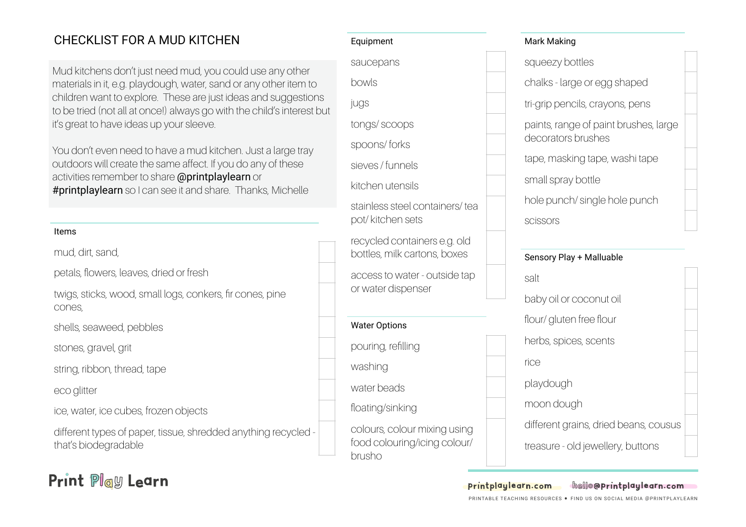## CHECKLIST FOR A MUD KITCHEN

Mud kitchens don't just need mud, you could use any other materials in it, e.g. playdough, water, sand or any other item to children want to explore. These are just ideas and suggestions to be tried (not all at once!) always go with the child's interest but it's great to have ideas up your sleeve.

You don't even need to have a mud kitchen. Just a large tray outdoors will create the same affect. If you do any of these activities remember to share @printplaylearn or #printplaylearn so I can see it and share. Thanks, Michelle

#### Items

mud, dirt, sand,

petals, flowers, leaves, dried or fresh

twigs, sticks, wood, small logs, conkers, fir cones, pine cones,

shells, seaweed, pebbles

stones, gravel, grit

string, ribbon, thread, tape

eco glitter

ice, water, ice cubes, frozen objects

different types of paper, tissue, shredded anything recycled that's biodegradable

# Print Play Learn

| Equipment                                                    |  |
|--------------------------------------------------------------|--|
| saucepans                                                    |  |
| bowls                                                        |  |
| jugs                                                         |  |
| tongs/scoops                                                 |  |
| spoons/forks                                                 |  |
| sieves / funnels                                             |  |
| kitchen utensils                                             |  |
| stainless steel containers/tea<br>pot/kitchen sets           |  |
| recycled containers e.g. old<br>bottles, milk cartons, boxes |  |
| access to water - outside tap<br>or water dispenser          |  |
| <b>Water Options</b>                                         |  |
| pouring, refilling                                           |  |
| washing                                                      |  |
| water beads                                                  |  |
| floating/sinking                                             |  |
| colours, colour mixing using<br>food colouring/icing colour/ |  |

brusho

### Mark Making

Sensory Play + Malluable salt baby oil or coconut oil flour/ gluten free flour herbs, spices, scents rice playdough squeezy bottles chalks - large or egg shaped tri-grip pencils, crayons, pens paints, range of paint brushes, large decorators brushes tape, masking tape, washi tape small spray bottle hole punch/ single hole punch scissors

moon dough

different grains, dried beans, cousus

treasure - old jewellery, buttons

### printplaulearn.com

hello@printplaylearn.com

PRINTABLE TEACHING RESOURCES • FIND US ON SOCIAL MEDIA @PRINTPLAYLEARN